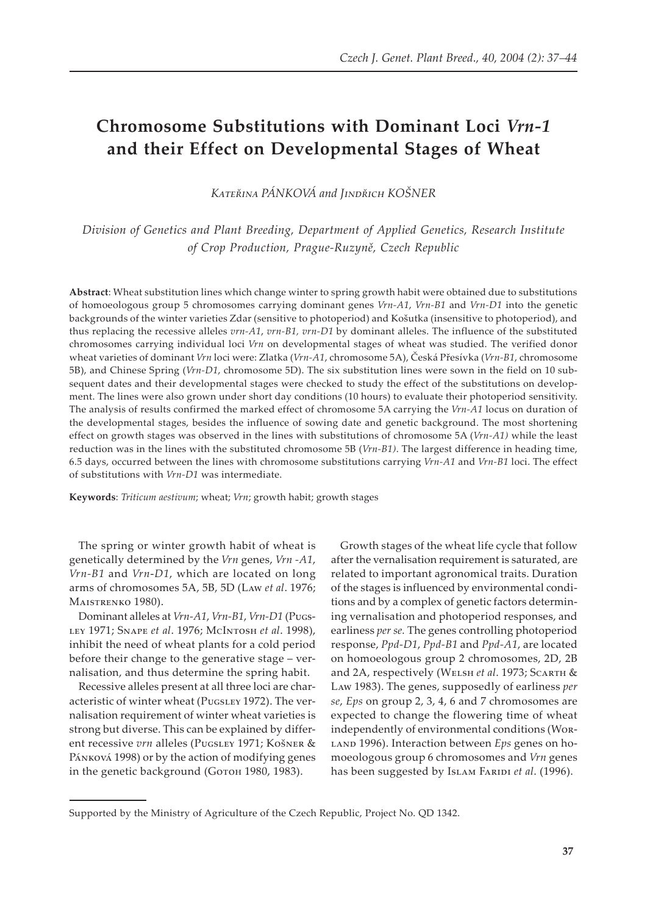# **Chromosome Substitutions with Dominant Loci** *Vrn-1* **and their Effect on Developmental Stages of Wheat**

*K������� PÁNKOVÁ and J������� KOŠNER*

*Division of Genetics and Plant Breeding, Department of Applied Genetics, Research Institute of Crop Production, Prague-Ruzyně, Czech Republic*

**Abstract**: Wheat substitution lines which change winter to spring growth habit were obtained due to substitutions of homoeologous group 5 chromosomes carrying dominant genes *Vrn-A1*, *Vrn-B1* and *Vrn-D1* into the genetic backgrounds of the winter varieties Zdar (sensitive to photoperiod) and Košutka (insensitive to photoperiod), and thus replacing the recessive alleles *vrn-A1*, *vrn-B1, vrn-D1* by dominant alleles. The influence of the substituted chromosomes carrying individual loci *Vrn* on developmental stages of wheat was studied. The verified donor wheat varieties of dominant *Vrn* loci were: Zlatka (*Vrn-A1*, chromosome 5A), Česká Přesívka (*Vrn-B1*, chromosome 5B), and Chinese Spring (*Vrn-D1*, chromosome 5D). The six substitution lines were sown in the field on 10 subsequent dates and their developmental stages were checked to study the effect of the substitutions on development. The lines were also grown under short day conditions (10 hours) to evaluate their photoperiod sensitivity. The analysis of results confirmed the marked effect of chromosome 5A carrying the *Vrn-A1* locus on duration of the developmental stages, besides the influence of sowing date and genetic background. The most shortening effect on growth stages was observed in the lines with substitutions of chromosome 5A (*Vrn-A1)* while the least reduction was in the lines with the substituted chromosome 5B (*Vrn-B1)*. The largest difference in heading time, 6.5 days, occurred between the lines with chromosome substitutions carrying *Vrn-A1* and *Vrn-B1* loci. The effect of substitutions with *Vrn-D1* was intermediate.

**Keywords**: *Triticum aestivum*; wheat; *Vrn*; growth habit; growth stages

The spring or winter growth habit of wheat is genetically determined by the *Vrn* genes, *Vrn -A1*, *Vrn-B1* and *Vrn*-*D1*, which are located on long arms of chromosomes 5A, 5B, 5D (Law et al. 1976; MAISTRENKO 1980).

Dominant alleles at *Vrn-A1*, *Vrn-B1*, *Vrn-D1* (Pucs-��� 1971; S���� *et al*. 1976; M�I����� *et al*. 1998), inhibit the need of wheat plants for a cold period before their change to the generative stage – vernalisation, and thus determine the spring habit.

Recessive alleles present at all three loci are characteristic of winter wheat (PugsLEY 1972). The vernalisation requirement of winter wheat varieties is strong but diverse. This can be explained by different recessive *vrn* alleles (Pugsley 1971; Košner & PÁNKOVÁ 1998) or by the action of modifying genes in the genetic background (Goтон 1980, 1983).

Growth stages of the wheat life cycle that follow after the vernalisation requirement is saturated, are related to important agronomical traits. Duration of the stages is influenced by environmental conditions and by a complex of genetic factors determining vernalisation and photoperiod responses, and earliness *per se.* The genes controlling photoperiod response, *Ppd-D1*, *Ppd-B1* and *Ppd-A1*, are located on homoeologous group 2 chromosomes, 2D, 2B and 2A, respectively (WELSH et al. 1973; SСАRТН & L�� 1983). The genes, supposedly of earliness *per se*, *Eps* on group 2, 3, 4, 6 and 7 chromosomes are expected to change the flowering time of wheat independently of environmental conditions (Wor-���� 1996). Interaction between *Eps* genes on homoeologous group 6 chromosomes and *Vrn* genes has been suggested by IsLAM FARIDI et al. (1996).

Supported by the Ministry of Agriculture of the Czech Republic, Project No. QD 1342.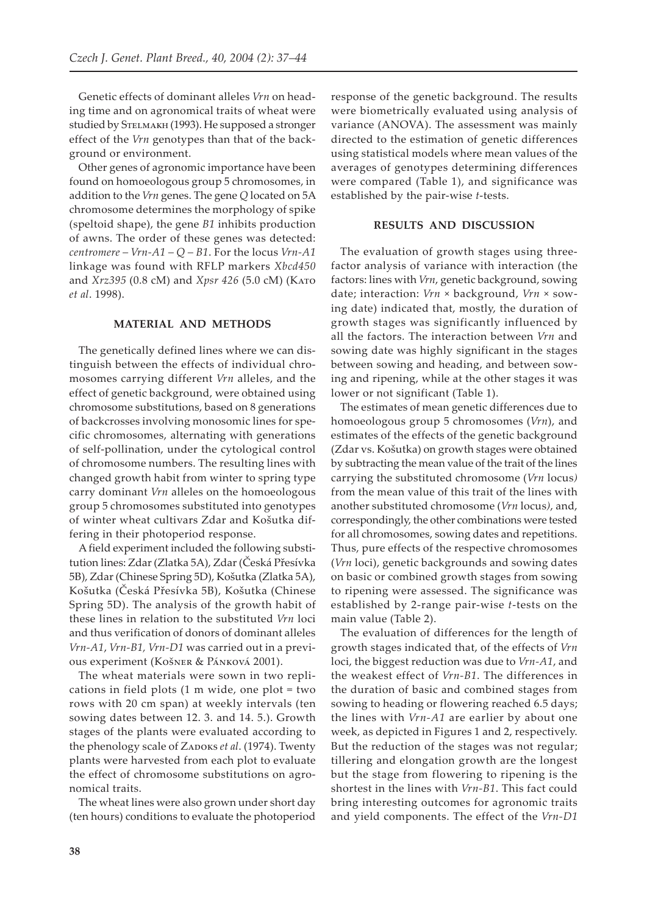Genetic effects of dominant alleles *Vrn* on heading time and on agronomical traits of wheat were studied by Sтєлмакн (1993). He supposed a stronger effect of the *Vrn* genotypes than that of the background or environment.

Other genes of agronomic importance have been found on homoeologous group 5 chromosomes, in addition to the *Vrn* genes. The gene *Q* located on 5A chromosome determines the morphology of spike (speltoid shape), the gene *B1* inhibits production of awns. The order of these genes was detected: *centromere – Vrn-A1 – Q – B1*. For the locus *Vrn-A1* linkage was found with RFLP markers *Xbcd450* and *Xrz*395 (0.8 cM) and *Xpsr* 426 (5.0 cM) (КАТО *et al*. 1998).

# **MATERIAL AND METHODS**

The genetically defined lines where we can distinguish between the effects of individual chromosomes carrying different *Vrn* alleles, and the effect of genetic background, were obtained using chromosome substitutions, based on 8 generations of backcrosses involving monosomic lines for specific chromosomes, alternating with generations of self-pollination, under the cytological control of chromosome numbers. The resulting lines with changed growth habit from winter to spring type carry dominant *Vrn* alleles on the homoeologous group 5 chromosomes substituted into genotypes of winter wheat cultivars Zdar and Košutka differing in their photoperiod response.

A field experiment included the following substitution lines: Zdar (Zlatka 5A), Zdar (Česká Přesívka 5B), Zdar (Chinese Spring 5D), Košutka (Zlatka 5A), Košutka (Česká Přesívka 5B), Košutka (Chinese Spring 5D). The analysis of the growth habit of these lines in relation to the substituted *Vrn* loci and thus verification of donors of dominant alleles *Vrn-A1*, *Vrn-B1, Vrn-D1* was carried out in a previous experiment (Košner & Pánková 2001).

The wheat materials were sown in two replications in field plots (1 m wide, one plot = two rows with 20 cm span) at weekly intervals (ten sowing dates between 12. 3. and 14. 5.). Growth stages of the plants were evaluated according to the phenology scale of ZADOKS et al. (1974). Twenty plants were harvested from each plot to evaluate the effect of chromosome substitutions on agronomical traits.

The wheat lines were also grown under short day (ten hours) conditions to evaluate the photoperiod

response of the genetic background. The results were biometrically evaluated using analysis of variance (ANOVA). The assessment was mainly directed to the estimation of genetic differences using statistical models where mean values of the averages of genotypes determining differences were compared (Table 1), and significance was established by the pair-wise *t*-tests.

### **RESULTS AND DISCUSSION**

The evaluation of growth stages using threefactor analysis of variance with interaction (the factors: lines with *Vrn*, genetic background, sowing date; interaction: *Vrn* × background, *Vrn* × sowing date) indicated that, mostly, the duration of growth stages was significantly influenced by all the factors. The interaction between *Vrn* and sowing date was highly significant in the stages between sowing and heading, and between sowing and ripening, while at the other stages it was lower or not significant (Table 1).

The estimates of mean genetic differences due to homoeologous group 5 chromosomes (*Vrn*), and estimates of the effects of the genetic background (Zdar vs. Košutka) on growth stages were obtained by subtracting the mean value of the trait of the lines carrying the substituted chromosome (*Vrn* locus*)*  from the mean value of this trait of the lines with another substituted chromosome (*Vrn* locus*)*, and, correspondingly, the other combinations were tested for all chromosomes, sowing dates and repetitions. Thus, pure effects of the respective chromosomes (*Vrn* loci), genetic backgrounds and sowing dates on basic or combined growth stages from sowing to ripening were assessed. The significance was established by 2-range pair-wise *t*-tests on the main value (Table 2).

The evaluation of differences for the length of growth stages indicated that, of the effects of *Vrn*  loci, the biggest reduction was due to *Vrn-A1*, and the weakest effect of *Vrn-B1*. The differences in the duration of basic and combined stages from sowing to heading or flowering reached 6.5 days; the lines with *Vrn-A1* are earlier by about one week, as depicted in Figures 1 and 2, respectively. But the reduction of the stages was not regular; tillering and elongation growth are the longest but the stage from flowering to ripening is the shortest in the lines with *Vrn-B1*. This fact could bring interesting outcomes for agronomic traits and yield components. The effect of the *Vrn-D1*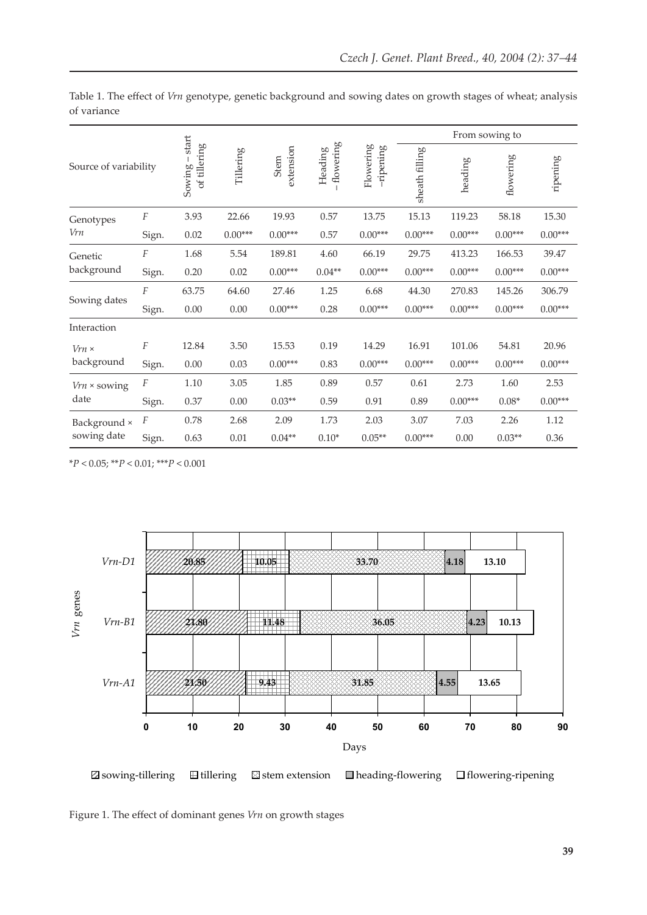|                             |                  |                                 |           |                   |                      |                        | From sowing to |           |           |           |
|-----------------------------|------------------|---------------------------------|-----------|-------------------|----------------------|------------------------|----------------|-----------|-----------|-----------|
| Source of variability       |                  | start<br>of tillering<br>Sowing | Tillering | extension<br>Stem | flowering<br>Heading | Flowering<br>-ripening | sheath filling | heading   | flowering | ripening  |
| Genotypes<br>Vrn            | F                | 3.93                            | 22.66     | 19.93             | 0.57                 | 13.75                  | 15.13          | 119.23    | 58.18     | 15.30     |
|                             | Sign.            | 0.02                            | $0.00***$ | $0.00***$         | 0.57                 | $0.00***$              | $0.00***$      | $0.00***$ | $0.00***$ | $0.00***$ |
| Genetic<br>background       | F                | 1.68                            | 5.54      | 189.81            | 4.60                 | 66.19                  | 29.75          | 413.23    | 166.53    | 39.47     |
|                             | Sign.            | 0.20                            | 0.02      | $0.00***$         | $0.04**$             | $0.00***$              | $0.00***$      | $0.00***$ | $0.00***$ | $0.00***$ |
| Sowing dates                | F                | 63.75                           | 64.60     | 27.46             | 1.25                 | 6.68                   | 44.30          | 270.83    | 145.26    | 306.79    |
|                             | Sign.            | $0.00\,$                        | $0.00\,$  | $0.00***$         | 0.28                 | $0.00***$              | $0.00***$      | $0.00***$ | $0.00***$ | $0.00***$ |
| Interaction                 |                  |                                 |           |                   |                      |                        |                |           |           |           |
| $Vrn \times$<br>background  | F                | 12.84                           | 3.50      | 15.53             | 0.19                 | 14.29                  | 16.91          | 101.06    | 54.81     | 20.96     |
|                             | Sign.            | 0.00                            | 0.03      | $0.00***$         | 0.83                 | $0.00***$              | $0.00***$      | $0.00***$ | $0.00***$ | $0.00***$ |
| $Vrn \times$ sowing<br>date | $\boldsymbol{F}$ | 1.10                            | 3.05      | 1.85              | 0.89                 | 0.57                   | 0.61           | 2.73      | 1.60      | 2.53      |
|                             | Sign.            | 0.37                            | 0.00      | $0.03**$          | 0.59                 | 0.91                   | 0.89           | $0.00***$ | $0.08*$   | $0.00***$ |
| Background ×<br>sowing date | $\cal F$         | 0.78                            | 2.68      | 2.09              | 1.73                 | 2.03                   | 3.07           | 7.03      | 2.26      | 1.12      |
|                             | Sign.            | 0.63                            | 0.01      | $0.04**$          | $0.10*$              | $0.05**$               | $0.00***$      | 0.00      | $0.03**$  | 0.36      |

Table 1. The effect of *Vrn* genotype, genetic background and sowing dates on growth stages of wheat; analysis of variance

\**P* < 0.05; \*\**P* < 0.01; \*\*\**P* < 0.001



 $\boxtimes$  sowing-tillering  $\boxplus$  tillering  $\boxtimes$  stem extension  $\Box$  heading-flowering  $\Box$  flowering-ripening

Figure 1. The effect of dominant genes *Vrn* on growth stages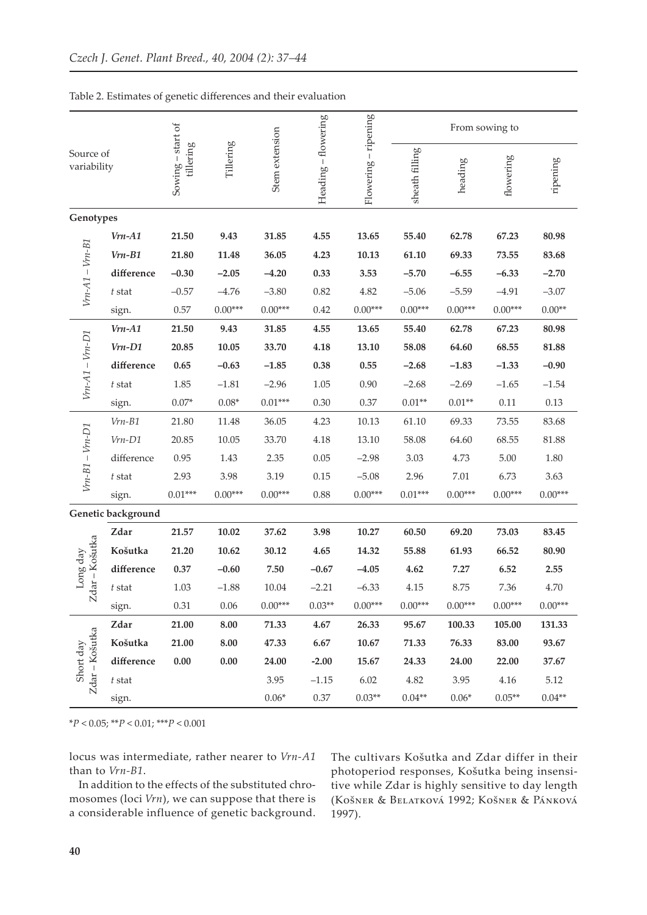| Source of<br>variability    |                       | Sowing – start of<br>tillering | Tillering | Stem extension | Heading - flowering | Flowering - ripening | From sowing to |           |           |           |
|-----------------------------|-----------------------|--------------------------------|-----------|----------------|---------------------|----------------------|----------------|-----------|-----------|-----------|
|                             |                       |                                |           |                |                     |                      | sheath filling | heading   | flowering | ripening  |
| Genotypes                   |                       |                                |           |                |                     |                      |                |           |           |           |
| $V_{r}n-A1-V_{r}n-B1$       | $Vrn-A1$              | 21.50                          | 9.43      | 31.85          | 4.55                | 13.65                | 55.40          | 62.78     | 67.23     | 80.98     |
|                             | $Vrn-B1$              | 21.80                          | 11.48     | 36.05          | 4.23                | 10.13                | 61.10          | 69.33     | 73.55     | 83.68     |
|                             | difference            | $-0.30$                        | $-2.05$   | $-4.20$        | 0.33                | 3.53                 | $-5.70$        | $-6.55$   | $-6.33$   | $-2.70$   |
|                             | $t$ stat              | $-0.57$                        | $-4.76$   | $-3.80$        | 0.82                | 4.82                 | $-5.06$        | $-5.59$   | $-4.91$   | $-3.07$   |
|                             | sign.                 | 0.57                           | $0.00***$ | $0.00***$      | 0.42                | $0.00***$            | $0.00***$      | $0.00***$ | $0.00***$ | $0.00**$  |
| $V_{rn-}A1-V_{rn-}D1$       | $Vrn - A1$            | 21.50                          | 9.43      | 31.85          | 4.55                | 13.65                | 55.40          | 62.78     | 67.23     | 80.98     |
|                             | $Vrn-D1$              | 20.85                          | 10.05     | 33.70          | 4.18                | 13.10                | 58.08          | 64.60     | 68.55     | 81.88     |
|                             | difference            | 0.65                           | $-0.63$   | $-1.85$        | 0.38                | 0.55                 | $-2.68$        | $-1.83$   | $-1.33$   | $-0.90$   |
|                             | $t$ stat              | 1.85                           | $-1.81$   | $-2.96$        | 1.05                | 0.90                 | $-2.68$        | $-2.69$   | $-1.65$   | $-1.54$   |
|                             | sign.                 | $0.07*$                        | $0.08*$   | $0.01***$      | 0.30                | 0.37                 | $0.01**$       | $0.01**$  | 0.11      | 0.13      |
| $V_{TT}-B1-V_{TT}-D1$       | $Vrn-B1$              | 21.80                          | 11.48     | 36.05          | 4.23                | 10.13                | 61.10          | 69.33     | 73.55     | 83.68     |
|                             | $Vrn-D1$              | 20.85                          | 10.05     | 33.70          | 4.18                | 13.10                | 58.08          | 64.60     | 68.55     | 81.88     |
|                             | difference            | 0.95                           | 1.43      | 2.35           | 0.05                | $-2.98$              | 3.03           | 4.73      | 5.00      | 1.80      |
|                             | $t$ stat              | 2.93                           | 3.98      | 3.19           | 0.15                | $-5.08$              | 2.96           | 7.01      | 6.73      | 3.63      |
|                             | sign.                 | $0.01***$                      | $0.00***$ | $0.00***$      | 0.88                | $0.00***$            | $0.01***$      | $0.00***$ | $0.00***$ | $0.00***$ |
|                             | Genetic background    |                                |           |                |                     |                      |                |           |           |           |
| Zdar-Košutka<br>Long day    | Zdar                  | 21.57                          | 10.02     | 37.62          | 3.98                | 10.27                | 60.50          | 69.20     | 73.03     | 83.45     |
|                             | Košutka               | 21.20                          | 10.62     | 30.12          | 4.65                | 14.32                | 55.88          | 61.93     | 66.52     | 80.90     |
|                             | $difference$          | 0.37                           | $-0.60$   | 7.50           | $-0.67$             | $-4.05$              | 4.62           | 7.27      | 6.52      | 2.55      |
|                             | $t$ stat              | 1.03                           | $-1.88$   | 10.04          | $-2.21$             | $-6.33$              | 4.15           | 8.75      | 7.36      | 4.70      |
|                             | sign.                 | 0.31                           | 0.06      | $0.00***$      | $0.03**$            | $0.00***$            | $0.00***$      | $0.00***$ | $0.00***$ | $0.00***$ |
| Zdar - Košutka<br>Short day | Zdar                  | 21.00                          | 8.00      | 71.33          | 4.67                | 26.33                | 95.67          | 100.33    | 105.00    | 131.33    |
|                             | Košutka               | 21.00                          | 8.00      | 47.33          | 6.67                | 10.67                | 71.33          | 76.33     | 83.00     | 93.67     |
|                             | difference            | $0.00\,$                       | 0.00      | 24.00          | $-2.00$             | 15.67                | 24.33          | 24.00     | 22.00     | 37.67     |
|                             | $\boldsymbol{t}$ stat |                                |           | 3.95           | $-1.15$             | 6.02                 | 4.82           | 3.95      | 4.16      | 5.12      |
|                             | sign.                 |                                |           | $0.06*$        | 0.37                | $0.03**$             | $0.04**$       | $0.06*$   | $0.05**$  | $0.04**$  |

Table 2. Estimates of genetic differences and their evaluation

\**P* < 0.05; \*\**P* < 0.01; \*\*\**P* < 0.001

locus was intermediate, rather nearer to *Vrn-A1* than to *Vrn-B1*.

In addition to the effects of the substituted chromosomes (loci *Vrn*), we can suppose that there is a considerable influence of genetic background.

The cultivars Košutka and Zdar differ in their photoperiod responses, Košutka being insensitive while Zdar is highly sensitive to day length (KOŠNER & BELATKOVÁ 1992; KOŠNER & PÁNKOVÁ 1997).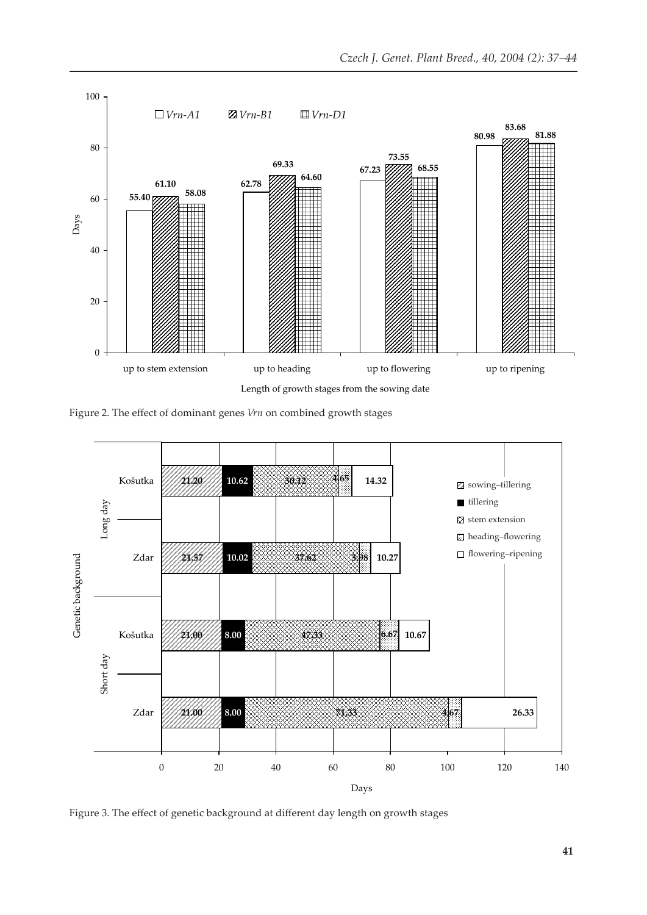

Figure 2. The effect of dominant genes *Vrn* on combined growth stages



Figure 3. The effect of genetic background at different day length on growth stages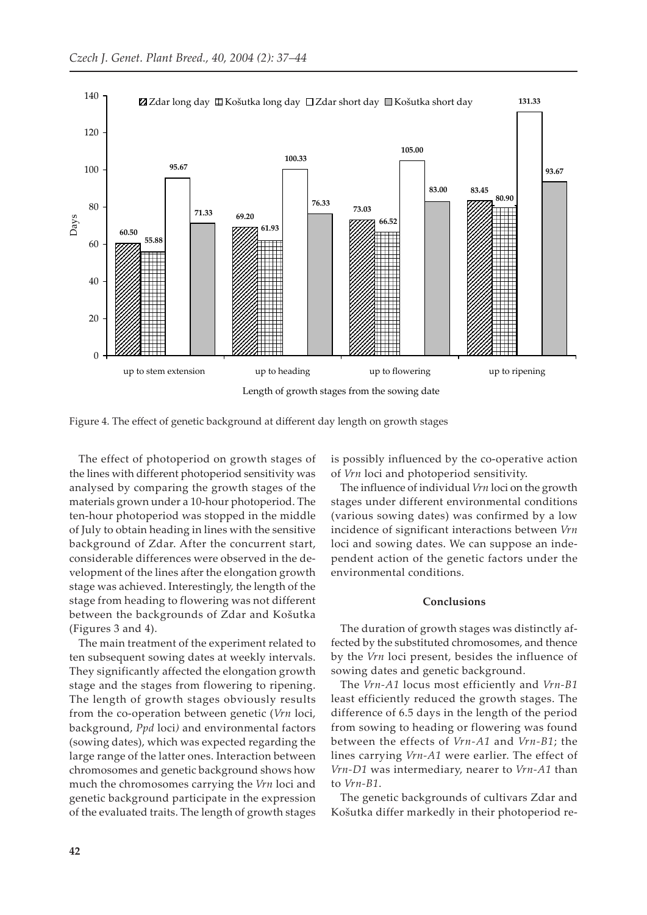

Figure 4. The effect of genetic background at different day length on growth stages

The effect of photoperiod on growth stages of the lines with different photoperiod sensitivity was analysed by comparing the growth stages of the materials grown under a 10-hour photoperiod. The ten-hour photoperiod was stopped in the middle of July to obtain heading in lines with the sensitive background of Zdar. After the concurrent start, considerable differences were observed in the development of the lines after the elongation growth stage was achieved. Interestingly, the length of the stage from heading to flowering was not different between the backgrounds of Zdar and Košutka (Figures 3 and 4).

The main treatment of the experiment related to ten subsequent sowing dates at weekly intervals. They significantly affected the elongation growth stage and the stages from flowering to ripening. The length of growth stages obviously results from the co-operation between genetic (*Vrn* loci, background, *Ppd* loci*)* and environmental factors (sowing dates), which was expected regarding the large range of the latter ones. Interaction between chromosomes and genetic background shows how much the chromosomes carrying the *Vrn* loci and genetic background participate in the expression of the evaluated traits. The length of growth stages is possibly influenced by the co-operative action of *Vrn* loci and photoperiod sensitivity.

The influence of individual *Vrn* loci on the growth stages under different environmental conditions (various sowing dates) was confirmed by a low incidence of significant interactions between *Vrn* loci and sowing dates. We can suppose an independent action of the genetic factors under the environmental conditions.

## **Conclusions**

The duration of growth stages was distinctly affected by the substituted chromosomes, and thence by the *Vrn* loci present, besides the influence of sowing dates and genetic background.

The *Vrn-A1* locus most efficiently and *Vrn-B1* least efficiently reduced the growth stages. The difference of 6.5 days in the length of the period from sowing to heading or flowering was found between the effects of *Vrn-A1* and *Vrn-B1*; the lines carrying *Vrn-A1* were earlier. The effect of *Vrn-D1* was intermediary, nearer to *Vrn-A1* than to *Vrn-B1*.

The genetic backgrounds of cultivars Zdar and Košutka differ markedly in their photoperiod re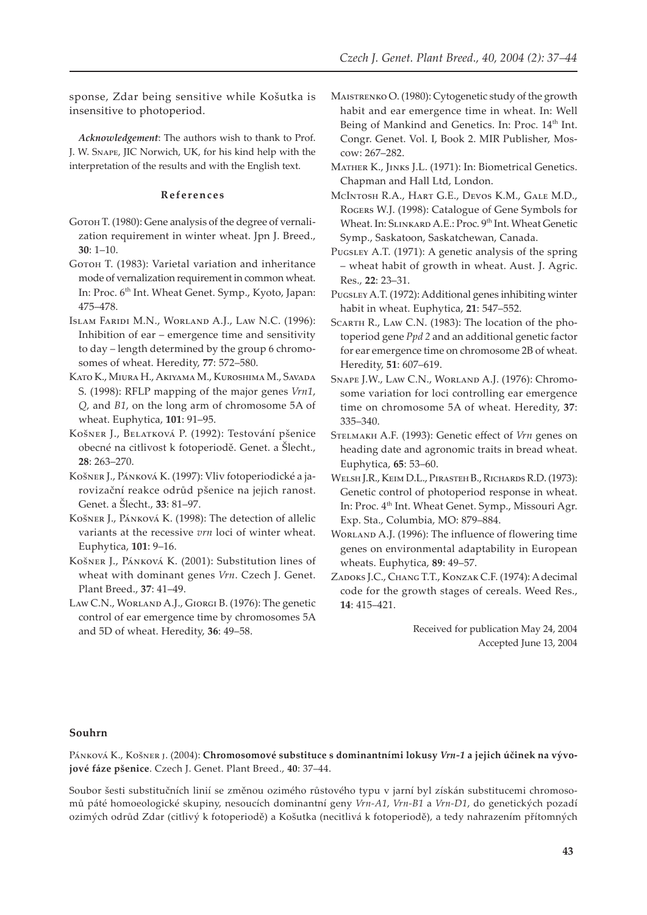sponse, Zdar being sensitive while Košutka is insensitive to photoperiod.

Acknowledgement: The authors wish to thank to Prof. J. W. SNAPE, JIC Norwich, UK, for his kind help with the interpretation of the results and with the English text.

## References

- Gотон T. (1980): Gene analysis of the degree of vernalization requirement in winter wheat. Jpn J. Breed.,  $30:1 - 10.$
- Gотон T. (1983): Varietal variation and inheritance mode of vernalization requirement in common wheat. In: Proc. 6<sup>th</sup> Int. Wheat Genet. Symp., Kyoto, Japan: 475-478
- ISLAM FARIDI M.N., WORLAND A.J., LAW N.C. (1996): Inhibition of ear – emergence time and sensitivity to day - length determined by the group 6 chromosomes of wheat. Heredity, 77: 572-580.
- KATO K., MIURA H., AKIYAMA M., KUROSHIMA M., SAVADA S. (1998): RFLP mapping of the major genes Vrn1,  $Q$ , and  $B1$ , on the long arm of chromosome 5A of wheat. Euphytica, 101: 91-95.
- KOŠNER J., BELATKOVÁ P. (1992): Testování pšenice obecné na citlivost k fotoperiodě. Genet. a Šlecht., 28: 263-270.
- KOŠNER J., PÁNKOVÁ K. (1997): Vliv fotoperiodické a jarovizační reakce odrůd pšenice na jejich ranost. Genet. a Šlecht., 33: 81-97.
- KOŠNER J., PÁNKOVÁ K. (1998): The detection of allelic variants at the recessive vrn loci of winter wheat. Euphytica, 101: 9-16.
- KOŠNER J., PÁNKOVÁ K. (2001): Substitution lines of wheat with dominant genes Vrn. Czech J. Genet. Plant Breed., 37: 41-49.
- LAW C.N., WORLAND A.J., GIORGI B. (1976): The genetic control of ear emergence time by chromosomes 5A and 5D of wheat. Heredity, 36: 49-58.
- MAISTRENKO O. (1980): Cytogenetic study of the growth habit and ear emergence time in wheat. In: Well Being of Mankind and Genetics. In: Proc. 14<sup>th</sup> Int. Congr. Genet. Vol. I, Book 2. MIR Publisher, Moscow: 267-282.
- MATHER K., JINKS J.L. (1971): In: Biometrical Genetics. Chapman and Hall Ltd, London.
- MCINTOSH R.A., HART G.E., DEVOS K.M., GALE M.D., ROGERS W.J. (1998): Catalogue of Gene Symbols for Wheat. In: SLINKARD A.E.: Proc. 9th Int. Wheat Genetic Symp., Saskatoon, Saskatchewan, Canada.
- PUGSLEY A.T. (1971): A genetic analysis of the spring - wheat habit of growth in wheat. Aust. J. Agric. Res., 22: 23-31.
- PUGSLEY A.T. (1972): Additional genes inhibiting winter habit in wheat. Euphytica, 21: 547-552.
- SCARTH R., LAW C.N. (1983): The location of the photoperiod gene Ppd 2 and an additional genetic factor for ear emergence time on chromosome 2B of wheat. Heredity, 51: 607-619.
- SNAPE J.W., LAW C.N., WORLAND A.J. (1976): Chromosome variation for loci controlling ear emergence time on chromosome 5A of wheat. Heredity, 37: 335-340.
- STELMAKH A.F. (1993): Genetic effect of Vrn genes on heading date and agronomic traits in bread wheat. Euphytica, 65: 53-60.
- WELSH J.R., KEIM D.L., PIRASTEH B., RICHARDS R.D. (1973): Genetic control of photoperiod response in wheat. In: Proc. 4<sup>th</sup> Int. Wheat Genet. Symp., Missouri Agr. Exp. Sta., Columbia, MO: 879-884.
- WORLAND A.J. (1996): The influence of flowering time genes on environmental adaptability in European wheats. Euphytica, 89: 49-57.
- ZADOKS J.C., CHANG T.T., KONZAK C.F. (1974): A decimal code for the growth stages of cereals. Weed Res., 14: 415-421.

Received for publication May 24, 2004 Accepted June 13, 2004

### Souhrn

PÁNKOVÁ K., KOŠNER J. (2004): Chromosomové substituce s dominantními lokusy Vrn-1 a jejich účinek na vývojové fáze pšenice. Czech J. Genet. Plant Breed., 40: 37-44.

Soubor šesti substitučních linií se změnou ozimého růstového typu v jarní byl získán substitucemi chromosomů páté homoeologické skupiny, nesoucích dominantní geny Vrn-A1, Vrn-B1 a Vrn-D1, do genetických pozadí ozimých odrůd Zdar (citlivý k fotoperiodě) a Košutka (necitlivá k fotoperiodě), a tedy nahrazením přítomných